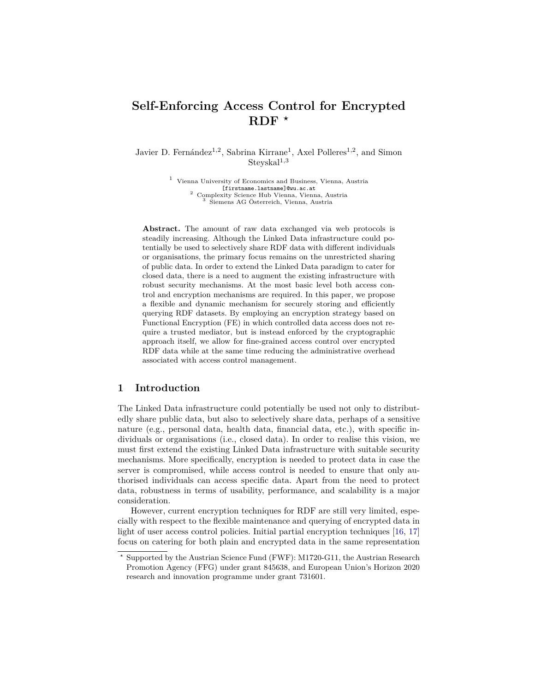# **Self-Enforcing Access Control for Encrypted RDF** *<sup>⋆</sup>*

Javier D. Fernández<sup>1,2</sup>, Sabrina Kirrane<sup>1</sup>, Axel Polleres<sup>1,2</sup>, and Simon Steyskal<sup>1,3</sup>

> <sup>1</sup> Vienna University of Economics and Business, Vienna, Austria [firstname.lastname]@wu.ac.at  $^{\rm 2}$  Complexity Science Hub Vienna, Vienna, Austria <sup>3</sup> Siemens AG Österreich, Vienna, Austria

**Abstract.** The amount of raw data exchanged via web protocols is steadily increasing. Although the Linked Data infrastructure could potentially be used to selectively share RDF data with different individuals or organisations, the primary focus remains on the unrestricted sharing of public data. In order to extend the Linked Data paradigm to cater for closed data, there is a need to augment the existing infrastructure with robust security mechanisms. At the most basic level both access control and encryption mechanisms are required. In this paper, we propose a flexible and dynamic mechanism for securely storing and efficiently querying RDF datasets. By employing an encryption strategy based on Functional Encryption (FE) in which controlled data access does not require a trusted mediator, but is instead enforced by the cryptographic approach itself, we allow for fine-grained access control over encrypted RDF data while at the same time reducing the administrative overhead associated with access control management.

### **1 Introduction**

The Linked Data infrastructure could potentially be used not only to distributedly share public data, but also to selectively share data, perhaps of a sensitive nature (e.g., personal data, health data, financial data, etc.), with specific individuals or organisations (i.e., closed data). In order to realise this vision, we must first extend the existing Linked Data infrastructure with suitable security mechanisms. More specifically, encryption is needed to protect data in case the server is compromised, while access control is needed to ensure that only authorised individuals can access specific data. Apart from the need to protect data, robustness in terms of usability, performance, and scalability is a major consideration.

However, current encryption techniques for RDF are still very limited, especially with respect to the flexible maintenance and querying of encrypted data in light of user access control policies. Initial partial encryption techniques [\[16,](#page-14-0) [17\]](#page-14-1) focus on catering for both plain and encrypted data in the same representation

Supported by the Austrian Science Fund (FWF): M1720-G11, the Austrian Research Promotion Agency (FFG) under grant 845638, and European Union's Horizon 2020 research and innovation programme under grant 731601.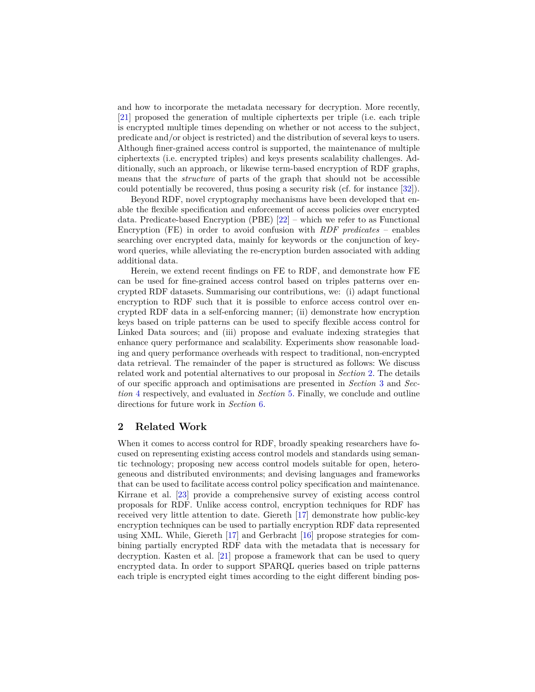and how to incorporate the metadata necessary for decryption. More recently, [\[21\]](#page-14-2) proposed the generation of multiple ciphertexts per triple (i.e. each triple is encrypted multiple times depending on whether or not access to the subject, predicate and/or object is restricted) and the distribution of several keys to users. Although finer-grained access control is supported, the maintenance of multiple ciphertexts (i.e. encrypted triples) and keys presents scalability challenges. Additionally, such an approach, or likewise term-based encryption of RDF graphs, means that the *structure* of parts of the graph that should not be accessible could potentially be recovered, thus posing a security risk (cf. for instance [\[32\]](#page-14-3)).

Beyond RDF, novel cryptography mechanisms have been developed that enable the flexible specification and enforcement of access policies over encrypted data. Predicate-based Encryption (PBE) [\[22\]](#page-14-4) – which we refer to as Functional Encryption (FE) in order to avoid confusion with *RDF predicates* – enables searching over encrypted data, mainly for keywords or the conjunction of keyword queries, while alleviating the re-encryption burden associated with adding additional data.

Herein, we extend recent findings on FE to RDF, and demonstrate how FE can be used for fine-grained access control based on triples patterns over encrypted RDF datasets. Summarising our contributions, we: (i) adapt functional encryption to RDF such that it is possible to enforce access control over encrypted RDF data in a self-enforcing manner; (ii) demonstrate how encryption keys based on triple patterns can be used to specify flexible access control for Linked Data sources; and (iii) propose and evaluate indexing strategies that enhance query performance and scalability. Experiments show reasonable loading and query performance overheads with respect to traditional, non-encrypted data retrieval. The remainder of the paper is structured as follows: We discuss related work and potential alternatives to our proposal in *Section* [2.](#page-1-0) The details of our specific approach and optimisations are presented in *Section* [3](#page-2-0) and *Section* [4](#page-5-0) respectively, and evaluated in *Section* [5.](#page-9-0) Finally, we conclude and outline directions for future work in *Section* [6.](#page-11-0)

# <span id="page-1-0"></span>**2 Related Work**

When it comes to access control for RDF, broadly speaking researchers have focused on representing existing access control models and standards using semantic technology; proposing new access control models suitable for open, heterogeneous and distributed environments; and devising languages and frameworks that can be used to facilitate access control policy specification and maintenance. Kirrane et al. [\[23\]](#page-14-5) provide a comprehensive survey of existing access control proposals for RDF. Unlike access control, encryption techniques for RDF has received very little attention to date. Giereth [\[17\]](#page-14-1) demonstrate how public-key encryption techniques can be used to partially encryption RDF data represented using XML. While, Giereth [\[17\]](#page-14-1) and Gerbracht [\[16\]](#page-14-0) propose strategies for combining partially encrypted RDF data with the metadata that is necessary for decryption. Kasten et al. [\[21\]](#page-14-2) propose a framework that can be used to query encrypted data. In order to support SPARQL queries based on triple patterns each triple is encrypted eight times according to the eight different binding pos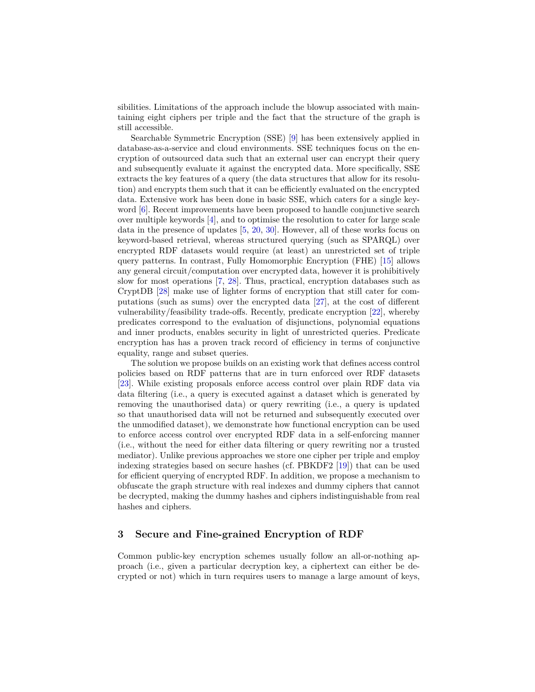sibilities. Limitations of the approach include the blowup associated with maintaining eight ciphers per triple and the fact that the structure of the graph is still accessible.

Searchable Symmetric Encryption (SSE) [\[9\]](#page-13-0) has been extensively applied in database-as-a-service and cloud environments. SSE techniques focus on the encryption of outsourced data such that an external user can encrypt their query and subsequently evaluate it against the encrypted data. More specifically, SSE extracts the key features of a query (the data structures that allow for its resolution) and encrypts them such that it can be efficiently evaluated on the encrypted data. Extensive work has been done in basic SSE, which caters for a single keyword [\[6\]](#page-13-1). Recent improvements have been proposed to handle conjunctive search over multiple keywords [\[4\]](#page-13-2), and to optimise the resolution to cater for large scale data in the presence of updates [\[5,](#page-13-3) [20,](#page-14-6) [30\]](#page-14-7). However, all of these works focus on keyword-based retrieval, whereas structured querying (such as SPARQL) over encrypted RDF datasets would require (at least) an unrestricted set of triple query patterns. In contrast, Fully Homomorphic Encryption (FHE) [\[15\]](#page-14-8) allows any general circuit/computation over encrypted data, however it is prohibitively slow for most operations [\[7,](#page-13-4) [28\]](#page-14-9). Thus, practical, encryption databases such as CryptDB [\[28\]](#page-14-9) make use of lighter forms of encryption that still cater for computations (such as sums) over the encrypted data [\[27\]](#page-14-10), at the cost of different vulnerability/feasibility trade-offs. Recently, predicate encryption [\[22\]](#page-14-4), whereby predicates correspond to the evaluation of disjunctions, polynomial equations and inner products, enables security in light of unrestricted queries. Predicate encryption has has a proven track record of efficiency in terms of conjunctive equality, range and subset queries.

The solution we propose builds on an existing work that defines access control policies based on RDF patterns that are in turn enforced over RDF datasets [\[23\]](#page-14-5). While existing proposals enforce access control over plain RDF data via data filtering (i.e., a query is executed against a dataset which is generated by removing the unauthorised data) or query rewriting (i.e., a query is updated so that unauthorised data will not be returned and subsequently executed over the unmodified dataset), we demonstrate how functional encryption can be used to enforce access control over encrypted RDF data in a self-enforcing manner (i.e., without the need for either data filtering or query rewriting nor a trusted mediator). Unlike previous approaches we store one cipher per triple and employ indexing strategies based on secure hashes (cf. PBKDF2 [\[19\]](#page-14-11)) that can be used for efficient querying of encrypted RDF. In addition, we propose a mechanism to obfuscate the graph structure with real indexes and dummy ciphers that cannot be decrypted, making the dummy hashes and ciphers indistinguishable from real hashes and ciphers.

#### <span id="page-2-0"></span>**3 Secure and Fine-grained Encryption of RDF**

Common public-key encryption schemes usually follow an all-or-nothing approach (i.e., given a particular decryption key, a ciphertext can either be decrypted or not) which in turn requires users to manage a large amount of keys,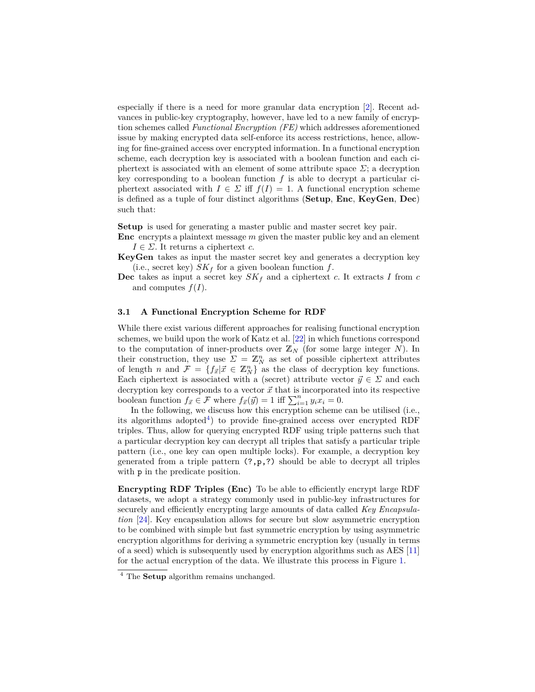especially if there is a need for more granular data encryption [\[2\]](#page-13-5). Recent advances in public-key cryptography, however, have led to a new family of encryption schemes called *Functional Encryption (FE)* which addresses aforementioned issue by making encrypted data self-enforce its access restrictions, hence, allowing for fine-grained access over encrypted information. In a functional encryption scheme, each decryption key is associated with a boolean function and each ciphertext is associated with an element of some attribute space  $\Sigma$ ; a decryption key corresponding to a boolean function  $f$  is able to decrypt a particular ciphertext associated with  $I \in \Sigma$  iff  $f(I) = 1$ . A functional encryption scheme is defined as a tuple of four distinct algorithms (**Setup**, **Enc**, **KeyGen**, **Dec**) such that:

**Setup** is used for generating a master public and master secret key pair.

- **Enc** encrypts a plaintext message  $m$  given the master public key and an element  $I \in \Sigma$ . It returns a ciphertext c.
- **KeyGen** takes as input the master secret key and generates a decryption key (i.e., secret key)  $SK<sub>f</sub>$  for a given boolean function f.
- **Dec** takes as input a secret key  $SK_f$  and a ciphertext c. It extracts I from c and computes  $f(I)$ .

#### **3.1 A Functional Encryption Scheme for RDF**

While there exist various different approaches for realising functional encryption schemes, we build upon the work of Katz et al. [\[22\]](#page-14-4) in which functions correspond to the computation of inner-products over  $\mathbb{Z}_N$  (for some large integer N). In their construction, they use  $\Sigma = \mathbb{Z}_N^n$  as set of possible ciphertext attributes of length *n* and  $\mathcal{F} = \{f_{\vec{x}} | \vec{x} \in \mathbb{Z}_N^n\}$  as the class of decryption key functions. Each ciphertext is associated with a (secret) attribute vector  $\vec{y} \in \Sigma$  and each decryption key corresponds to a vector  $\vec{x}$  that is incorporated into its respective boolean function  $f_{\vec{x}} \in \mathcal{F}$  where  $f_{\vec{x}}(\vec{y}) = 1$  iff  $\sum_{i=1}^{n} y_i \dot{x}_i = 0$ .

In the following, we discuss how this encryption scheme can be utilised (i.e., its algorithms adopted<sup>[4](#page-3-0)</sup>) to provide fine-grained access over encrypted RDF triples. Thus, allow for querying encrypted RDF using triple patterns such that a particular decryption key can decrypt all triples that satisfy a particular triple pattern (i.e., one key can open multiple locks). For example, a decryption key generated from a triple pattern (?,p,?) should be able to decrypt all triples with p in the predicate position.

**Encrypting RDF Triples (Enc)** To be able to efficiently encrypt large RDF datasets, we adopt a strategy commonly used in public-key infrastructures for securely and efficiently encrypting large amounts of data called *Key Encapsulation* [\[24\]](#page-14-12). Key encapsulation allows for secure but slow asymmetric encryption to be combined with simple but fast symmetric encryption by using asymmetric encryption algorithms for deriving a symmetric encryption key (usually in terms of a seed) which is subsequently used by encryption algorithms such as AES [\[11\]](#page-13-6) for the actual encryption of the data. We illustrate this process in Figure [1.](#page-4-0)

<span id="page-3-0"></span><sup>4</sup> The **Setup** algorithm remains unchanged.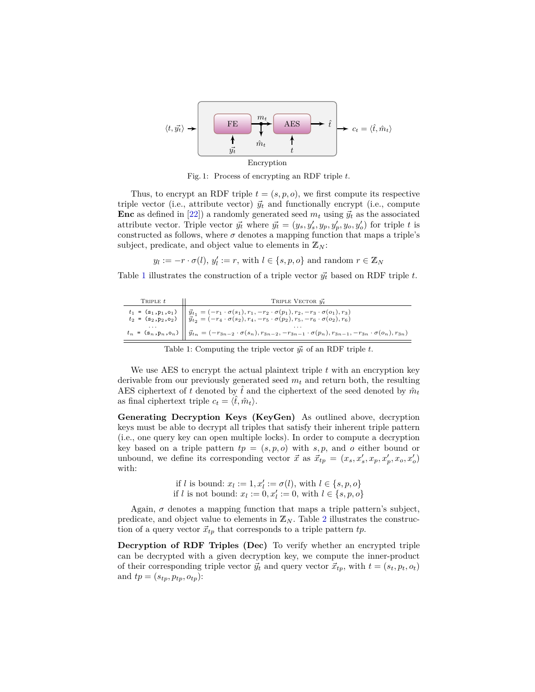<span id="page-4-0"></span>

Fig. 1: Process of encrypting an RDF triple  $t$ .

Thus, to encrypt an RDF triple  $t = (s, p, o)$ , we first compute its respective triple vector (i.e., attribute vector)  $\vec{y}_t$  and functionally encrypt (i.e., compute **Enc** as defined in [\[22\]](#page-14-4)) a randomly generated seed  $m_t$  using  $\vec{y}_t$  as the associated attribute vector. Triple vector  $\vec{y_t}$  where  $\vec{y_t} = (y_s, y'_s, y_p, y'_p, y_o, y'_o)$  for triple t is constructed as follows, where  $\sigma$  denotes a mapping function that maps a triple's subject, predicate, and object value to elements in  $\mathbb{Z}_N$ :

$$
y_l := -r \cdot \sigma(l), y'_l := r
$$
, with  $l \in \{s, p, o\}$  and random  $r \in \mathbb{Z}_N$ 

Table [1](#page-4-1) illustrates the construction of a triple vector  $\vec{y_t}$  based on RDF triple t.

<span id="page-4-1"></span>

| TRIPLE $t$ | TRIPLE VECTOR $\vec{y_t}$                                                                                                                                                                                                                                                                                                                                                                                      |  |  |  |
|------------|----------------------------------------------------------------------------------------------------------------------------------------------------------------------------------------------------------------------------------------------------------------------------------------------------------------------------------------------------------------------------------------------------------------|--|--|--|
|            | $\begin{array}{c} t_1 \;=\; (\mathsf{s}_1, \mathsf{p}_1, \mathsf{o}_1)\\ t_2 \;=\; (\mathsf{s}_2, \mathsf{p}_2, \mathsf{o}_2)\\ \end{array} \; \left   \begin{array}{l} \vec{y}_{t_1} = (-r_1 \cdot \sigma(s_1), r_1, -r_2 \cdot \sigma(p_1), r_2, -r_3 \cdot \sigma(o_1), r_3)\\ \vec{y}_{t_2} = (-r_4 \cdot \sigma(s_2), r_4, -r_5 \cdot \sigma(p_2), r_5, -r_6 \cdot \sigma(o_2), r_6) \end{array} \right.$ |  |  |  |
|            | $t_n = (s_n, p_n, o_n)$ $   \vec{y}_{t_n} = (-r_{3n-2} \cdot \sigma(s_n), r_{3n-2}, -r_{3n-1} \cdot \sigma(p_n), r_{3n-1}, -r_{3n} \cdot \sigma(o_n), r_{3n})$                                                                                                                                                                                                                                                 |  |  |  |

Table 1: Computing the triple vector  $\vec{y}_t$  of an RDF triple t.

We use AES to encrypt the actual plaintext triple  $t$  with an encryption key derivable from our previously generated seed  $m_t$  and return both, the resulting AES ciphertext of t denoted by  $\hat{t}$  and the ciphertext of the seed denoted by  $\hat{m}_t$ as final ciphertext triple  $c_t = \langle \hat{t}, \hat{m}_t \rangle$ .

**Generating Decryption Keys (KeyGen)** As outlined above, decryption keys must be able to decrypt all triples that satisfy their inherent triple pattern (i.e., one query key can open multiple locks). In order to compute a decryption key based on a triple pattern  $tp = (s, p, o)$  with  $s, p$ , and  $o$  either bound or unbound, we define its corresponding vector  $\vec{x}$  as  $\vec{x}_{tp} = (x_s, x'_s, x_p, x'_p, x_o, x'_o)$ with:

> if *l* is bound:  $x_l := 1, x'_l := \sigma(l)$ , with  $l \in \{s, p, o\}$ if *l* is not bound:  $x_l := 0, x'_l := 0$ , with  $l \in \{s, p, o\}$

Again,  $\sigma$  denotes a mapping function that maps a triple pattern's subject, predicate, and object value to elements in  $\mathbb{Z}_N$ . Table [2](#page-5-1) illustrates the construction of a query vector  $\vec{x}_{tp}$  that corresponds to a triple pattern  $tp$ .

**Decryption of RDF Triples (Dec)** To verify whether an encrypted triple can be decrypted with a given decryption key, we compute the inner-product of their corresponding triple vector  $\vec{y}_t$  and query vector  $\vec{x}_{tp}$ , with  $t = (s_t, p_t, o_t)$ and  $tp = (s_{tp}, p_{tp}, o_{tp})$ :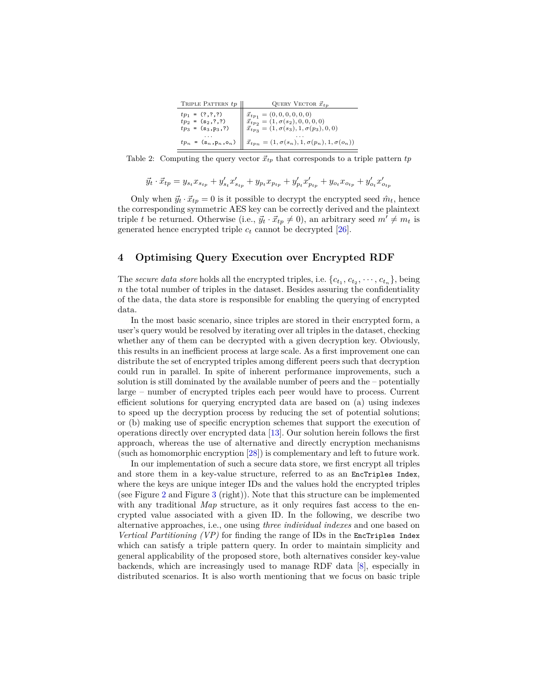<span id="page-5-1"></span>

| TRIPLE PATTERN tp                                                  | QUERY VECTOR $\vec{x}_{tn}$                                                                                                                                            |
|--------------------------------------------------------------------|------------------------------------------------------------------------------------------------------------------------------------------------------------------------|
| $tp_1 = (?,?,?)$<br>$tp_2 = (s_2, ?, ?)$<br>$tp_3 = (s_3, p_3, ?)$ | $\left\{ \begin{array}{l} \vec{x}_{tp1}=(0,0,0,0,0,0) \\ \vec{x}_{tp2}=(1,\sigma(s_2),0,0,0,0) \\ \vec{x}_{tp3}=(1,\sigma(s_3),1,\sigma(p_3),0,0) \end{array} \right.$ |
|                                                                    | $tp_n = (s_n, p_n, o_n)$ $\mid \vec{x}_{tp_n} = (1, \sigma(s_n), 1, \sigma(p_n), 1, \sigma(o_n))$                                                                      |

Table 2: Computing the query vector  $\vec{x}_{tp}$  that corresponds to a triple pattern  $tp$ 

$$
\vec{y}_t \cdot \vec{x}_{tp} = y_{s_t} x_{s_{tp}} + y'_{s_t} x'_{s_{tp}} + y_{pt} x_{p_{tp}} + y'_{p_t} x'_{p_{tp}} + y_{o_t} x_{o_{tp}} + y'_{o_t} x'_{o_{tp}}
$$

Only when  $\vec{y}_t \cdot \vec{x}_{tp} = 0$  is it possible to decrypt the encrypted seed  $\hat{m}_t$ , hence the corresponding symmetric AES key can be correctly derived and the plaintext triple t be returned. Otherwise (i.e.,  $\vec{y}_t \cdot \vec{x}_{tp} \neq 0$ ), an arbitrary seed  $m' \neq m_t$  is generated hence encrypted triple  $c_t$  cannot be decrypted [\[26\]](#page-14-13).

# <span id="page-5-0"></span>**4 Optimising Query Execution over Encrypted RDF**

The *secure data store* holds all the encrypted triples, i.e.  $\{c_{t_1}, c_{t_2}, \dots, c_{t_n}\}$ , being  $n$  the total number of triples in the dataset. Besides assuring the confidentiality of the data, the data store is responsible for enabling the querying of encrypted data.

In the most basic scenario, since triples are stored in their encrypted form, a user's query would be resolved by iterating over all triples in the dataset, checking whether any of them can be decrypted with a given decryption key. Obviously, this results in an inefficient process at large scale. As a first improvement one can distribute the set of encrypted triples among different peers such that decryption could run in parallel. In spite of inherent performance improvements, such a solution is still dominated by the available number of peers and the – potentially large – number of encrypted triples each peer would have to process. Current efficient solutions for querying encrypted data are based on (a) using indexes to speed up the decryption process by reducing the set of potential solutions; or (b) making use of specific encryption schemes that support the execution of operations directly over encrypted data [\[13\]](#page-13-7). Our solution herein follows the first approach, whereas the use of alternative and directly encryption mechanisms (such as homomorphic encryption [\[28\]](#page-14-9)) is complementary and left to future work.

In our implementation of such a secure data store, we first encrypt all triples and store them in a key-value structure, referred to as an EncTriples Index, where the keys are unique integer IDs and the values hold the encrypted triples (see Figure [2](#page-6-0) and Figure [3](#page-8-0) (right)). Note that this structure can be implemented with any traditional *Map* structure, as it only requires fast access to the encrypted value associated with a given ID. In the following, we describe two alternative approaches, i.e., one using *three individual indexes* and one based on *Vertical Partitioning (VP)* for finding the range of IDs in the EncTriples Index which can satisfy a triple pattern query. In order to maintain simplicity and general applicability of the proposed store, both alternatives consider key-value backends, which are increasingly used to manage RDF data [\[8\]](#page-13-8), especially in distributed scenarios. It is also worth mentioning that we focus on basic triple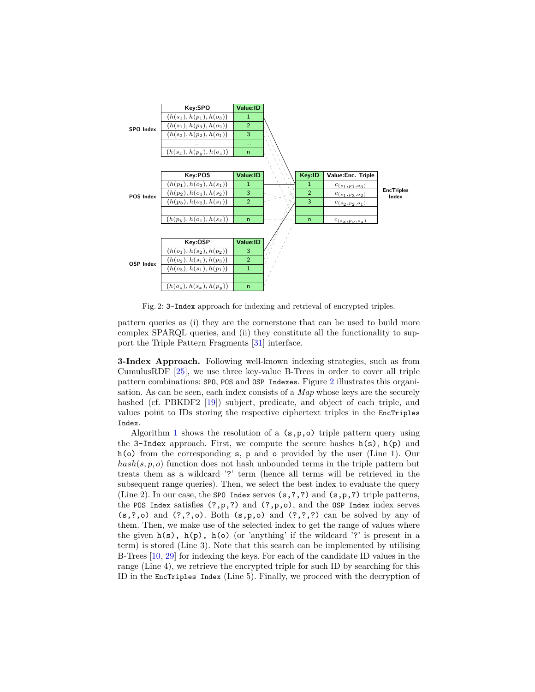<span id="page-6-0"></span>

Fig. 2: 3-Index approach for indexing and retrieval of encrypted triples.

pattern queries as (i) they are the cornerstone that can be used to build more complex SPARQL queries, and (ii) they constitute all the functionality to support the Triple Pattern Fragments [\[31\]](#page-14-14) interface.

**3-Index Approach.** Following well-known indexing strategies, such as from CumulusRDF [\[25\]](#page-14-15), we use three key-value B-Trees in order to cover all triple pattern combinations: SPO, POS and OSP Indexes. Figure [2](#page-6-0) illustrates this organisation. As can be seen, each index consists of a *Map* whose keys are the securely hashed (cf. PBKDF2 [\[19\]](#page-14-11)) subject, predicate, and object of each triple, and values point to IDs storing the respective ciphertext triples in the EncTriples Index.

Algorithm [1](#page-7-0) shows the resolution of a  $(s, p, o)$  triple pattern query using the 3-Index approach. First, we compute the secure hashes  $h(s)$ ,  $h(p)$  and h(o) from the corresponding s, p and o provided by the user (Line 1). Our  $hash(s, p, o)$  function does not hash unbounded terms in the triple pattern but treats them as a wildcard '?' term (hence all terms will be retrieved in the subsequent range queries). Then, we select the best index to evaluate the query (Line 2). In our case, the SPO Index serves (s,?,?) and (s,p,?) triple patterns, the POS Index satisfies (?,p,?) and (?,p,o), and the OSP Index index serves  $(s,?,o)$  and  $(?,?,o)$ . Both  $(s,p,o)$  and  $(?,?,?)$  can be solved by any of them. Then, we make use of the selected index to get the range of values where the given h(s), h(p), h(o) (or 'anything' if the wildcard '?' is present in a term) is stored (Line 3). Note that this search can be implemented by utilising B-Trees [\[10,](#page-13-9) [29\]](#page-14-16) for indexing the keys. For each of the candidate ID values in the range (Line 4), we retrieve the encrypted triple for such ID by searching for this ID in the EncTriples Index (Line 5). Finally, we proceed with the decryption of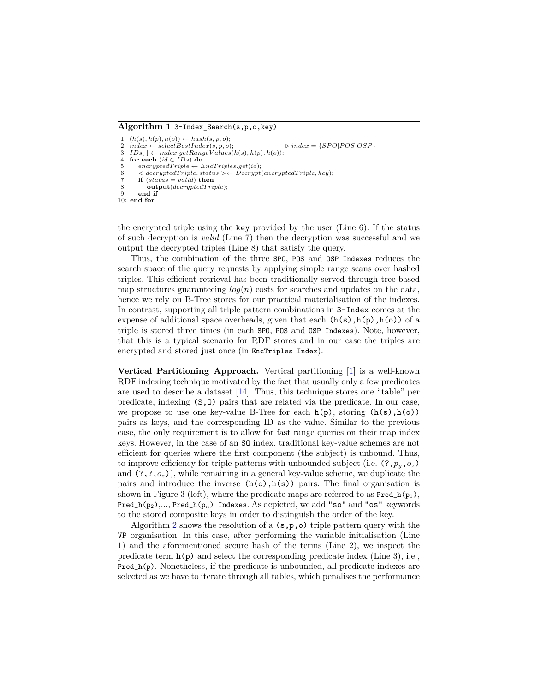<span id="page-7-0"></span>**Algorithm 1** 3-Index\_Search(s,p,o,key)

|     | 1: $(h(s), h(p), h(o)) \leftarrow hash(s, p, o);$                                                                                    |
|-----|--------------------------------------------------------------------------------------------------------------------------------------|
|     | 2: $index \leftarrow selectBestIndex(s, p, o)$ ;<br>$\triangleright$ index = {SPO POS OSP}                                           |
|     | 3: $IDs[ ] \leftarrow index.getRangeValues(h(s), h(p), h(o));$                                                                       |
|     | 4: for each $(id \in IDs)$ do                                                                                                        |
| 5:  | $\ell$ encrypted $Triple \leftarrow EncTriples.get(id);$                                                                             |
| 6:  | $\langle \text{d} \rangle$ decrypted Triple, status $\rangle \leftarrow$ Decrypted $\langle \text{d} \rangle$ riple, key $\rangle$ ; |
| 7:  | if $(status = valid)$ then                                                                                                           |
| -8: | output(decruptedTriple);                                                                                                             |
| 9:  | end if                                                                                                                               |
|     | $10:$ end for                                                                                                                        |
|     |                                                                                                                                      |

the encrypted triple using the key provided by the user (Line 6). If the status of such decryption is *valid* (Line 7) then the decryption was successful and we output the decrypted triples (Line 8) that satisfy the query.

Thus, the combination of the three SPO, POS and OSP Indexes reduces the search space of the query requests by applying simple range scans over hashed triples. This efficient retrieval has been traditionally served through tree-based map structures guaranteeing  $log(n)$  costs for searches and updates on the data, hence we rely on B-Tree stores for our practical materialisation of the indexes. In contrast, supporting all triple pattern combinations in 3-Index comes at the expense of additional space overheads, given that each  $(h(s),h(p),h(o))$  of a triple is stored three times (in each SPO, POS and OSP Indexes). Note, however, that this is a typical scenario for RDF stores and in our case the triples are encrypted and stored just once (in EncTriples Index).

**Vertical Partitioning Approach.** Vertical partitioning [\[1\]](#page-13-10) is a well-known RDF indexing technique motivated by the fact that usually only a few predicates are used to describe a dataset [\[14\]](#page-13-11). Thus, this technique stores one "table" per predicate, indexing (S,O) pairs that are related via the predicate. In our case, we propose to use one key-value B-Tree for each  $h(p)$ , storing  $(h(s),h(o))$ pairs as keys, and the corresponding ID as the value. Similar to the previous case, the only requirement is to allow for fast range queries on their map index keys. However, in the case of an SO index, traditional key-value schemes are not efficient for queries where the first component (the subject) is unbound. Thus, to improve efficiency for triple patterns with unbounded subject (i.e.  $(?,p_y,o_z)$ ) and  $(?,?,o_z)$ , while remaining in a general key-value scheme, we duplicate the pairs and introduce the inverse  $(h(o), h(s))$  pairs. The final organisation is shown in Figure [3](#page-8-0) (left), where the predicate maps are referred to as  $Pred_h(p_1)$ , Pred\_h( $p_2$ ),..., Pred\_h( $p_n$ ) Indexes. As depicted, we add "so" and "os" keywords to the stored composite keys in order to distinguish the order of the key.

Algorithm [2](#page-8-1) shows the resolution of a  $(s, p, o)$  triple pattern query with the VP organisation. In this case, after performing the variable initialisation (Line 1) and the aforementioned secure hash of the terms (Line 2), we inspect the predicate term  $h(p)$  and select the corresponding predicate index (Line 3), i.e., Pred<sub>\_h(p)</sub>. Nonetheless, if the predicate is unbounded, all predicate indexes are selected as we have to iterate through all tables, which penalises the performance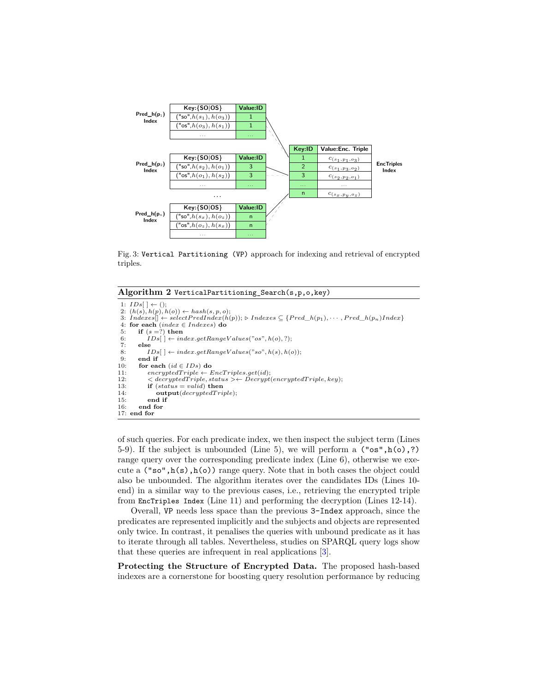<span id="page-8-0"></span>

<span id="page-8-1"></span>Fig. 3: Vertical Partitioning (VP) approach for indexing and retrieval of encrypted triples.

**Algorithm 2** VerticalPartitioning\_Search(s,p,o,key)

```
1: IDs[ ] \leftarrow () ;<br>2: (h(s), h(p), h(2: (h(s), h(p), h(o)) \leftarrow hash(s, p, o);<br>3: Indexes<sup>[]</sup> \leftarrow selectPredIndex(h)Indexes[] \leftarrow selectPredIndex(h(p)); \triangleright Index \subseteq \{Pred\_h(p_1), \cdots, Pred\_h(p_n)Index\}4: for each (index \in Indexes) do<br>5: if (s = ?) then
 5: if (s = ?) then<br>6: \text{IDs} \upharpoonright \leftarrow in6: IDs[] \leftarrow index.getRangeValues("os", h(o), ?);<br>7: else
 7: else
8: IDs[ ] \leftarrow index.getRangeValues("so", h(s), h(o));<br>9. end if
          9: end if
10: for each (id \in IDs) do<br>11: encruntedTrinle \leftarrow F
               \textit{encryptedTriple} \leftarrow \textit{EncTriple}.\textit{get(id)};12: \langle \text{decrypted} \hat{\text{Triple}}, \text{status} \rangle \leftarrow \text{Decrypt}(\text{encryptedTriple}, \text{key});13: if (status = valid) then
14: output(decryptedTriple);
15: end if
16: end for
17: end for
```
of such queries. For each predicate index, we then inspect the subject term (Lines 5-9). If the subject is unbounded (Line 5), we will perform a ("os",h(o),?) range query over the corresponding predicate index (Line 6), otherwise we execute a  $("so", h(s), h(o))$  range query. Note that in both cases the object could also be unbounded. The algorithm iterates over the candidates IDs (Lines 10 end) in a similar way to the previous cases, i.e., retrieving the encrypted triple from EncTriples Index (Line 11) and performing the decryption (Lines 12-14).

Overall, VP needs less space than the previous 3-Index approach, since the predicates are represented implicitly and the subjects and objects are represented only twice. In contrast, it penalises the queries with unbound predicate as it has to iterate through all tables. Nevertheless, studies on SPARQL query logs show that these queries are infrequent in real applications [\[3\]](#page-13-12).

**Protecting the Structure of Encrypted Data.** The proposed hash-based indexes are a cornerstone for boosting query resolution performance by reducing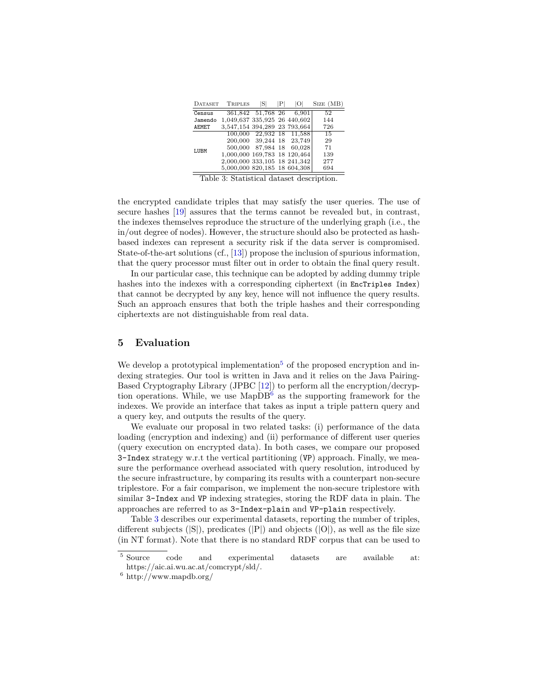<span id="page-9-3"></span>

| <b>DATASET</b> | <b>TRIPLES</b>               | S                        | Έľ | 1O     | Size (MB) |
|----------------|------------------------------|--------------------------|----|--------|-----------|
| Census         |                              | 361,842 51,768 26        |    | 6.901  | 52        |
| Jamendo        | 1,049,637 335,925 26 440,602 |                          |    |        | 144       |
| AEMET          | 3,547,154 394,289 23 793,664 |                          |    |        | 726       |
| <b>LUBM</b>    | 100,000                      | $22,932$ 18              |    | 11.588 | 15        |
|                |                              | 200,000 39,244 18 23,749 |    |        | 29        |
|                |                              | 500,000 87,984 18        |    | 60.028 | 71        |
|                | 1,000,000 169,783 18 120,464 |                          |    |        | 139       |
|                | 2,000,000 333,105 18 241,342 |                          |    |        | 277       |
|                | 5,000,000 820,185 18 604,308 |                          |    |        | 694       |

Table 3: Statistical dataset description.

the encrypted candidate triples that may satisfy the user queries. The use of secure hashes [\[19\]](#page-14-11) assures that the terms cannot be revealed but, in contrast, the indexes themselves reproduce the structure of the underlying graph (i.e., the in/out degree of nodes). However, the structure should also be protected as hashbased indexes can represent a security risk if the data server is compromised. State-of-the-art solutions (cf., [\[13\]](#page-13-7)) propose the inclusion of spurious information, that the query processor must filter out in order to obtain the final query result.

In our particular case, this technique can be adopted by adding dummy triple hashes into the indexes with a corresponding ciphertext (in EncTriples Index) that cannot be decrypted by any key, hence will not influence the query results. Such an approach ensures that both the triple hashes and their corresponding ciphertexts are not distinguishable from real data.

#### <span id="page-9-0"></span>**5 Evaluation**

We develop a prototypical implementation<sup>[5](#page-9-1)</sup> of the proposed encryption and indexing strategies. Our tool is written in Java and it relies on the Java Pairing-Based Cryptography Library (JPBC [\[12\]](#page-13-13)) to perform all the encryption/decryption operations. While, we use  $\text{MapDB}^6$  $\text{MapDB}^6$  as the supporting framework for the indexes. We provide an interface that takes as input a triple pattern query and a query key, and outputs the results of the query.

We evaluate our proposal in two related tasks: (i) performance of the data loading (encryption and indexing) and (ii) performance of different user queries (query execution on encrypted data). In both cases, we compare our proposed 3-Index strategy w.r.t the vertical partitioning (VP) approach. Finally, we measure the performance overhead associated with query resolution, introduced by the secure infrastructure, by comparing its results with a counterpart non-secure triplestore. For a fair comparison, we implement the non-secure triplestore with similar 3-Index and VP indexing strategies, storing the RDF data in plain. The approaches are referred to as 3-Index-plain and VP-plain respectively.

Table [3](#page-9-3) describes our experimental datasets, reporting the number of triples, different subjects  $(|S|)$ , predicates  $(|P|)$  and objects  $(|O|)$ , as well as the file size (in NT format). Note that there is no standard RDF corpus that can be used to

<span id="page-9-1"></span> $\frac{5}{5}$  Source code and experimental datasets are available at: https://aic.ai.wu.ac.at/comcrypt/sld/.

<span id="page-9-2"></span> $6 \text{ http://www.mapdb.org/}$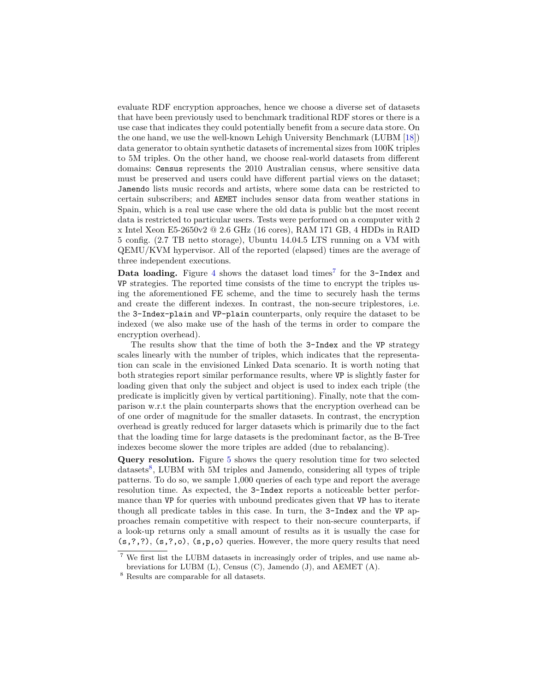evaluate RDF encryption approaches, hence we choose a diverse set of datasets that have been previously used to benchmark traditional RDF stores or there is a use case that indicates they could potentially benefit from a secure data store. On the one hand, we use the well-known Lehigh University Benchmark (LUBM [\[18\]](#page-14-17)) data generator to obtain synthetic datasets of incremental sizes from 100K triples to 5M triples. On the other hand, we choose real-world datasets from different domains: Census represents the 2010 Australian census, where sensitive data must be preserved and users could have different partial views on the dataset; Jamendo lists music records and artists, where some data can be restricted to certain subscribers; and AEMET includes sensor data from weather stations in Spain, which is a real use case where the old data is public but the most recent data is restricted to particular users. Tests were performed on a computer with 2 x Intel Xeon E5-2650v2 @ 2.6 GHz (16 cores), RAM 171 GB, 4 HDDs in RAID 5 config. (2.7 TB netto storage), Ubuntu 14.04.5 LTS running on a VM with QEMU/KVM hypervisor. All of the reported (elapsed) times are the average of three independent executions.

Data loading. Figure [4](#page-11-1) shows the dataset load times<sup>[7](#page-10-0)</sup> for the 3-Index and VP strategies. The reported time consists of the time to encrypt the triples using the aforementioned FE scheme, and the time to securely hash the terms and create the different indexes. In contrast, the non-secure triplestores, i.e. the 3-Index-plain and VP-plain counterparts, only require the dataset to be indexed (we also make use of the hash of the terms in order to compare the encryption overhead).

The results show that the time of both the 3-Index and the VP strategy scales linearly with the number of triples, which indicates that the representation can scale in the envisioned Linked Data scenario. It is worth noting that both strategies report similar performance results, where VP is slightly faster for loading given that only the subject and object is used to index each triple (the predicate is implicitly given by vertical partitioning). Finally, note that the comparison w.r.t the plain counterparts shows that the encryption overhead can be of one order of magnitude for the smaller datasets. In contrast, the encryption overhead is greatly reduced for larger datasets which is primarily due to the fact that the loading time for large datasets is the predominant factor, as the B-Tree indexes become slower the more triples are added (due to rebalancing).

**Query resolution.** Figure [5](#page-12-0) shows the query resolution time for two selected datasets<sup>[8](#page-10-1)</sup>, LUBM with 5M triples and Jamendo, considering all types of triple patterns. To do so, we sample 1,000 queries of each type and report the average resolution time. As expected, the 3-Index reports a noticeable better performance than VP for queries with unbound predicates given that VP has to iterate though all predicate tables in this case. In turn, the 3-Index and the VP approaches remain competitive with respect to their non-secure counterparts, if a look-up returns only a small amount of results as it is usually the case for  $(s,?,?,(), (s,?,o), (s,p,o))$  queries. However, the more query results that need

<span id="page-10-0"></span><sup>7</sup> We first list the LUBM datasets in increasingly order of triples, and use name abbreviations for LUBM (L), Census (C), Jamendo (J), and AEMET (A).

<span id="page-10-1"></span><sup>8</sup> Results are comparable for all datasets.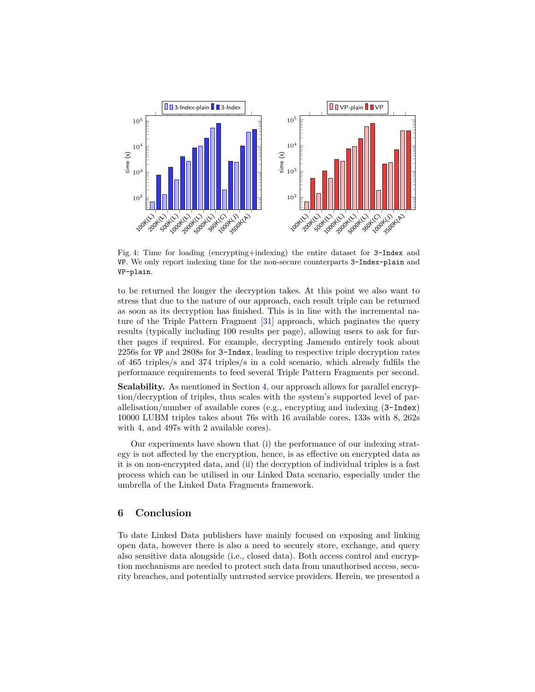<span id="page-11-1"></span>

Fig. 4: Time for loading (encrypting+indexing) the entire dataset for 3-Index and VP. We only report indexing time for the non-secure counterparts 3-Index-plain and VP-plain.

to be returned the longer the decryption takes. At this point we also want to stress that due to the nature of our approach, each result triple can be returned as soon as its decryption has finished. This is in line with the incremental nature of the Triple Pattern Fragment [\[31\]](#page-14-14) approach, which paginates the query results (typically including 100 results per page), allowing users to ask for further pages if required. For example, decrypting Jamendo entirely took about 2256s for VP and 2808s for 3-Index, leading to respective triple decryption rates of 465 triples/s and 374 triples/s in a cold scenario, which already fulfils the performance requirements to feed several Triple Pattern Fragments per second.

**Scalability.** As mentioned in Section [4,](#page-5-0) our approach allows for parallel encryption/decryption of triples, thus scales with the system's supported level of parallelisation/number of available cores (e.g., encrypting and indexing (3-Index) 10000 LUBM triples takes about 76s with 16 available cores, 133s with 8, 262s with 4, and 497s with 2 available cores).

Our experiments have shown that (i) the performance of our indexing strategy is not affected by the encryption, hence, is as effective on encrypted data as it is on non-encrypted data, and (ii) the decryption of individual triples is a fast process which can be utilised in our Linked Data scenario, especially under the umbrella of the Linked Data Fragments framework.

# <span id="page-11-0"></span>**6 Conclusion**

To date Linked Data publishers have mainly focused on exposing and linking open data, however there is also a need to securely store, exchange, and query also sensitive data alongside (i.e., closed data). Both access control and encryption mechanisms are needed to protect such data from unauthorised access, security breaches, and potentially untrusted service providers. Herein, we presented a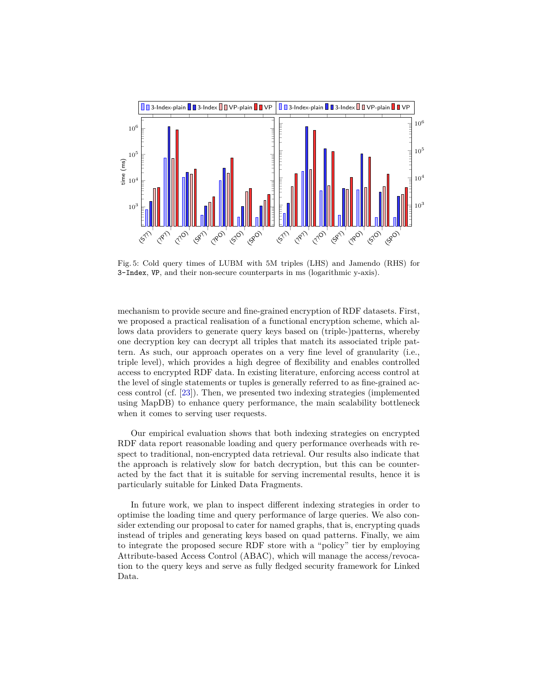<span id="page-12-0"></span>

Fig. 5: Cold query times of LUBM with 5M triples (LHS) and Jamendo (RHS) for 3-Index, VP, and their non-secure counterparts in ms (logarithmic y-axis).

mechanism to provide secure and fine-grained encryption of RDF datasets. First, we proposed a practical realisation of a functional encryption scheme, which allows data providers to generate query keys based on (triple-)patterns, whereby one decryption key can decrypt all triples that match its associated triple pattern. As such, our approach operates on a very fine level of granularity (i.e., triple level), which provides a high degree of flexibility and enables controlled access to encrypted RDF data. In existing literature, enforcing access control at the level of single statements or tuples is generally referred to as fine-grained access control (cf. [\[23\]](#page-14-5)). Then, we presented two indexing strategies (implemented using MapDB) to enhance query performance, the main scalability bottleneck when it comes to serving user requests.

Our empirical evaluation shows that both indexing strategies on encrypted RDF data report reasonable loading and query performance overheads with respect to traditional, non-encrypted data retrieval. Our results also indicate that the approach is relatively slow for batch decryption, but this can be counteracted by the fact that it is suitable for serving incremental results, hence it is particularly suitable for Linked Data Fragments.

In future work, we plan to inspect different indexing strategies in order to optimise the loading time and query performance of large queries. We also consider extending our proposal to cater for named graphs, that is, encrypting quads instead of triples and generating keys based on quad patterns. Finally, we aim to integrate the proposed secure RDF store with a "policy" tier by employing Attribute-based Access Control (ABAC), which will manage the access/revocation to the query keys and serve as fully fledged security framework for Linked Data.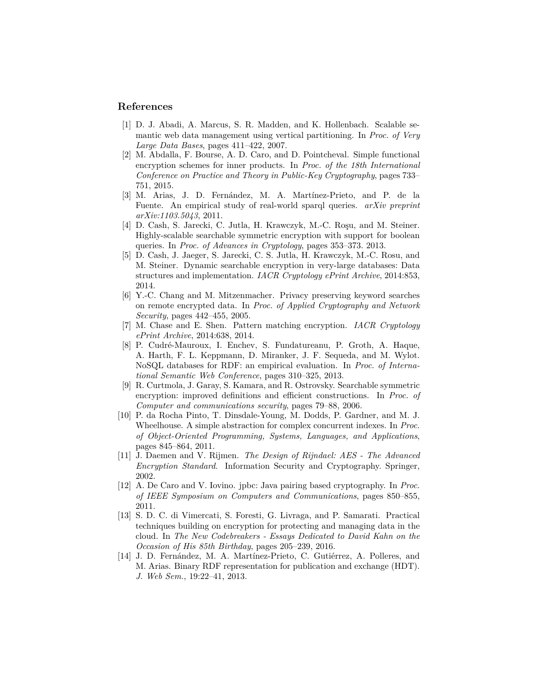#### **References**

- <span id="page-13-10"></span>[1] D. J. Abadi, A. Marcus, S. R. Madden, and K. Hollenbach. Scalable semantic web data management using vertical partitioning. In *Proc. of Very Large Data Bases*, pages 411–422, 2007.
- <span id="page-13-5"></span>[2] M. Abdalla, F. Bourse, A. D. Caro, and D. Pointcheval. Simple functional encryption schemes for inner products. In *Proc. of the 18th International Conference on Practice and Theory in Public-Key Cryptography*, pages 733– 751, 2015.
- <span id="page-13-12"></span>[3] M. Arias, J. D. Fernández, M. A. Martínez-Prieto, and P. de la Fuente. An empirical study of real-world sparql queries. *arXiv preprint arXiv:1103.5043*, 2011.
- <span id="page-13-2"></span>[4] D. Cash, S. Jarecki, C. Jutla, H. Krawczyk, M.-C. Roşu, and M. Steiner. Highly-scalable searchable symmetric encryption with support for boolean queries. In *Proc. of Advances in Cryptology*, pages 353–373. 2013.
- <span id="page-13-3"></span>[5] D. Cash, J. Jaeger, S. Jarecki, C. S. Jutla, H. Krawczyk, M.-C. Rosu, and M. Steiner. Dynamic searchable encryption in very-large databases: Data structures and implementation. *IACR Cryptology ePrint Archive*, 2014:853, 2014.
- <span id="page-13-1"></span>[6] Y.-C. Chang and M. Mitzenmacher. Privacy preserving keyword searches on remote encrypted data. In *Proc. of Applied Cryptography and Network Security*, pages 442–455, 2005.
- <span id="page-13-4"></span>[7] M. Chase and E. Shen. Pattern matching encryption. *IACR Cryptology ePrint Archive*, 2014:638, 2014.
- <span id="page-13-8"></span>[8] P. Cudré-Mauroux, I. Enchev, S. Fundatureanu, P. Groth, A. Haque, A. Harth, F. L. Keppmann, D. Miranker, J. F. Sequeda, and M. Wylot. NoSQL databases for RDF: an empirical evaluation. In *Proc. of International Semantic Web Conference*, pages 310–325, 2013.
- <span id="page-13-0"></span>[9] R. Curtmola, J. Garay, S. Kamara, and R. Ostrovsky. Searchable symmetric encryption: improved definitions and efficient constructions. In *Proc. of Computer and communications security*, pages 79–88, 2006.
- <span id="page-13-9"></span>[10] P. da Rocha Pinto, T. Dinsdale-Young, M. Dodds, P. Gardner, and M. J. Wheelhouse. A simple abstraction for complex concurrent indexes. In *Proc. of Object-Oriented Programming, Systems, Languages, and Applications*, pages 845–864, 2011.
- <span id="page-13-6"></span>[11] J. Daemen and V. Rijmen. *The Design of Rijndael: AES - The Advanced Encryption Standard*. Information Security and Cryptography. Springer, 2002.
- <span id="page-13-13"></span>[12] A. De Caro and V. Iovino. jpbc: Java pairing based cryptography. In *Proc. of IEEE Symposium on Computers and Communications*, pages 850–855, 2011.
- <span id="page-13-7"></span>[13] S. D. C. di Vimercati, S. Foresti, G. Livraga, and P. Samarati. Practical techniques building on encryption for protecting and managing data in the cloud. In *The New Codebreakers - Essays Dedicated to David Kahn on the Occasion of His 85th Birthday*, pages 205–239, 2016.
- <span id="page-13-11"></span>[14] J. D. Fernández, M. A. Martínez-Prieto, C. Gutiérrez, A. Polleres, and M. Arias. Binary RDF representation for publication and exchange (HDT). *J. Web Sem.*, 19:22–41, 2013.